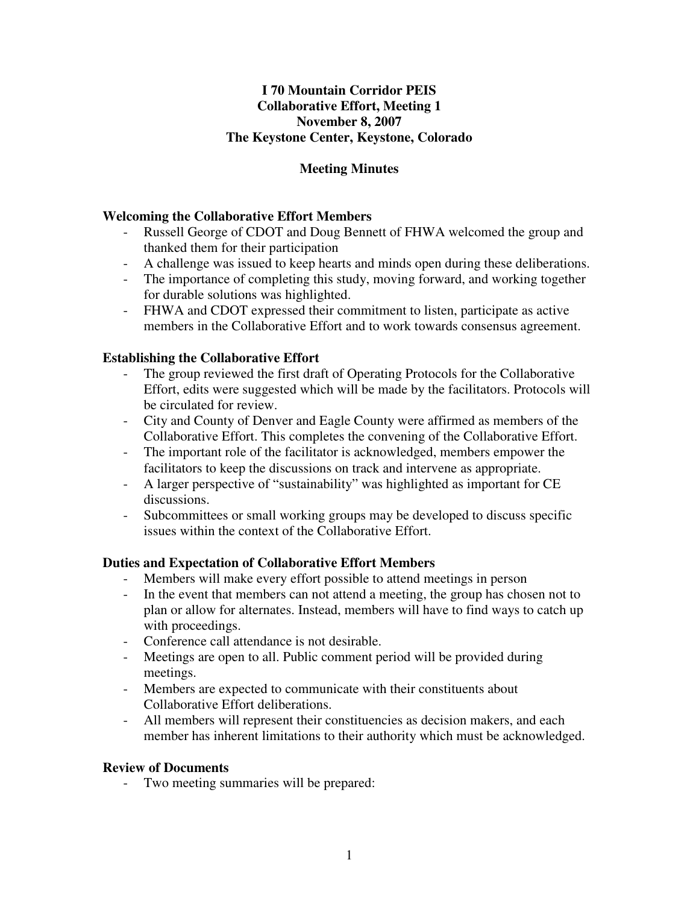## **I 70 Mountain Corridor PEIS Collaborative Effort, Meeting 1 November 8, 2007 The Keystone Center, Keystone, Colorado**

# **Meeting Minutes**

### **Welcoming the Collaborative Effort Members**

- Russell George of CDOT and Doug Bennett of FHWA welcomed the group and thanked them for their participation
- A challenge was issued to keep hearts and minds open during these deliberations.
- The importance of completing this study, moving forward, and working together for durable solutions was highlighted.
- FHWA and CDOT expressed their commitment to listen, participate as active members in the Collaborative Effort and to work towards consensus agreement.

### **Establishing the Collaborative Effort**

- The group reviewed the first draft of Operating Protocols for the Collaborative Effort, edits were suggested which will be made by the facilitators. Protocols will be circulated for review.
- City and County of Denver and Eagle County were affirmed as members of the Collaborative Effort. This completes the convening of the Collaborative Effort.
- The important role of the facilitator is acknowledged, members empower the facilitators to keep the discussions on track and intervene as appropriate.
- A larger perspective of "sustainability" was highlighted as important for CE discussions.
- Subcommittees or small working groups may be developed to discuss specific issues within the context of the Collaborative Effort.

## **Duties and Expectation of Collaborative Effort Members**

- Members will make every effort possible to attend meetings in person
- In the event that members can not attend a meeting, the group has chosen not to plan or allow for alternates. Instead, members will have to find ways to catch up with proceedings.
- Conference call attendance is not desirable.
- Meetings are open to all. Public comment period will be provided during meetings.
- Members are expected to communicate with their constituents about Collaborative Effort deliberations.
- All members will represent their constituencies as decision makers, and each member has inherent limitations to their authority which must be acknowledged.

#### **Review of Documents**

- Two meeting summaries will be prepared: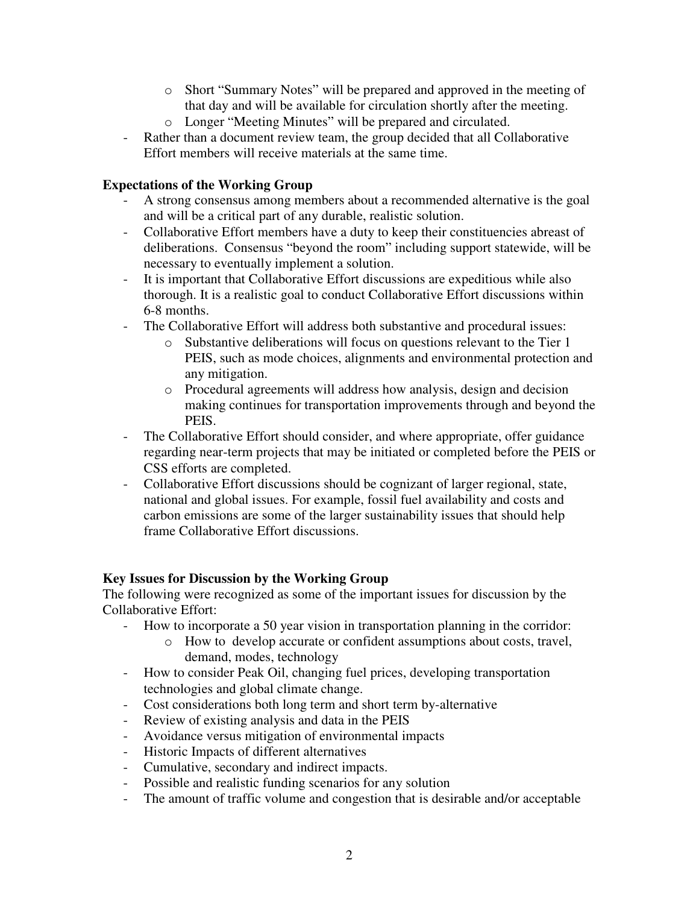- o Short "Summary Notes" will be prepared and approved in the meeting of that day and will be available for circulation shortly after the meeting.
- o Longer "Meeting Minutes" will be prepared and circulated.
- Rather than a document review team, the group decided that all Collaborative Effort members will receive materials at the same time.

### **Expectations of the Working Group**

- A strong consensus among members about a recommended alternative is the goal and will be a critical part of any durable, realistic solution.
- Collaborative Effort members have a duty to keep their constituencies abreast of deliberations. Consensus "beyond the room" including support statewide, will be necessary to eventually implement a solution.
- It is important that Collaborative Effort discussions are expeditious while also thorough. It is a realistic goal to conduct Collaborative Effort discussions within 6-8 months.
- The Collaborative Effort will address both substantive and procedural issues:
	- o Substantive deliberations will focus on questions relevant to the Tier 1 PEIS, such as mode choices, alignments and environmental protection and any mitigation.
	- o Procedural agreements will address how analysis, design and decision making continues for transportation improvements through and beyond the PEIS.
- The Collaborative Effort should consider, and where appropriate, offer guidance regarding near-term projects that may be initiated or completed before the PEIS or CSS efforts are completed.
- Collaborative Effort discussions should be cognizant of larger regional, state, national and global issues. For example, fossil fuel availability and costs and carbon emissions are some of the larger sustainability issues that should help frame Collaborative Effort discussions.

#### **Key Issues for Discussion by the Working Group**

The following were recognized as some of the important issues for discussion by the Collaborative Effort:

- How to incorporate a 50 year vision in transportation planning in the corridor:
	- o How to develop accurate or confident assumptions about costs, travel, demand, modes, technology
- How to consider Peak Oil, changing fuel prices, developing transportation technologies and global climate change.
- Cost considerations both long term and short term by-alternative
- Review of existing analysis and data in the PEIS
- Avoidance versus mitigation of environmental impacts
- Historic Impacts of different alternatives
- Cumulative, secondary and indirect impacts.
- Possible and realistic funding scenarios for any solution
- The amount of traffic volume and congestion that is desirable and/or acceptable